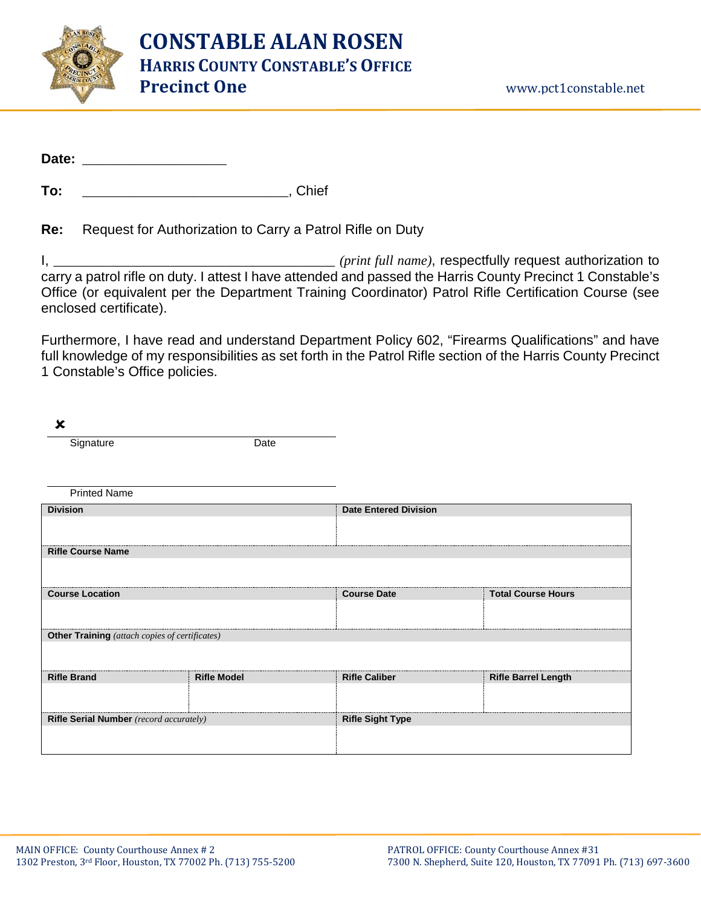

To: **To:** To: **The Community Chief** 

## **Re:** Request for Authorization to Carry a Patrol Rifle on Duty

I, \_\_\_\_\_\_\_\_\_\_\_\_\_\_\_\_\_\_\_\_\_\_\_\_\_\_\_\_\_\_\_\_\_\_\_\_\_\_\_\_\_ *(print full name)*, respectfully request authorization to carry a patrol rifle on duty. I attest I have attended and passed the Harris County Precinct 1 Constable's Office (or equivalent per the Department Training Coordinator) Patrol Rifle Certification Course (see enclosed certificate).

Furthermore, I have read and understand Department Policy 602, "Firearms Qualifications" and have full knowledge of my responsibilities as set forth in the Patrol Rifle section of the Harris County Precinct 1 Constable's Office policies.

| ×                                              |                    |                              |                            |  |
|------------------------------------------------|--------------------|------------------------------|----------------------------|--|
| Signature                                      | Date               |                              |                            |  |
|                                                |                    |                              |                            |  |
|                                                |                    |                              |                            |  |
| <b>Printed Name</b>                            |                    |                              |                            |  |
| <b>Division</b>                                |                    | <b>Date Entered Division</b> |                            |  |
|                                                |                    |                              |                            |  |
| <b>Rifle Course Name</b>                       |                    |                              |                            |  |
|                                                |                    |                              |                            |  |
| <b>Course Location</b>                         |                    | <b>Course Date</b>           | <b>Total Course Hours</b>  |  |
|                                                |                    |                              |                            |  |
| Other Training (attach copies of certificates) |                    |                              |                            |  |
|                                                |                    |                              |                            |  |
| <b>Rifle Brand</b>                             | <b>Rifle Model</b> | <b>Rifle Caliber</b>         | <b>Rifle Barrel Length</b> |  |
|                                                |                    |                              |                            |  |
| Rifle Serial Number (record accurately)        |                    | <b>Rifle Sight Type</b>      |                            |  |
|                                                |                    |                              |                            |  |
|                                                |                    |                              |                            |  |